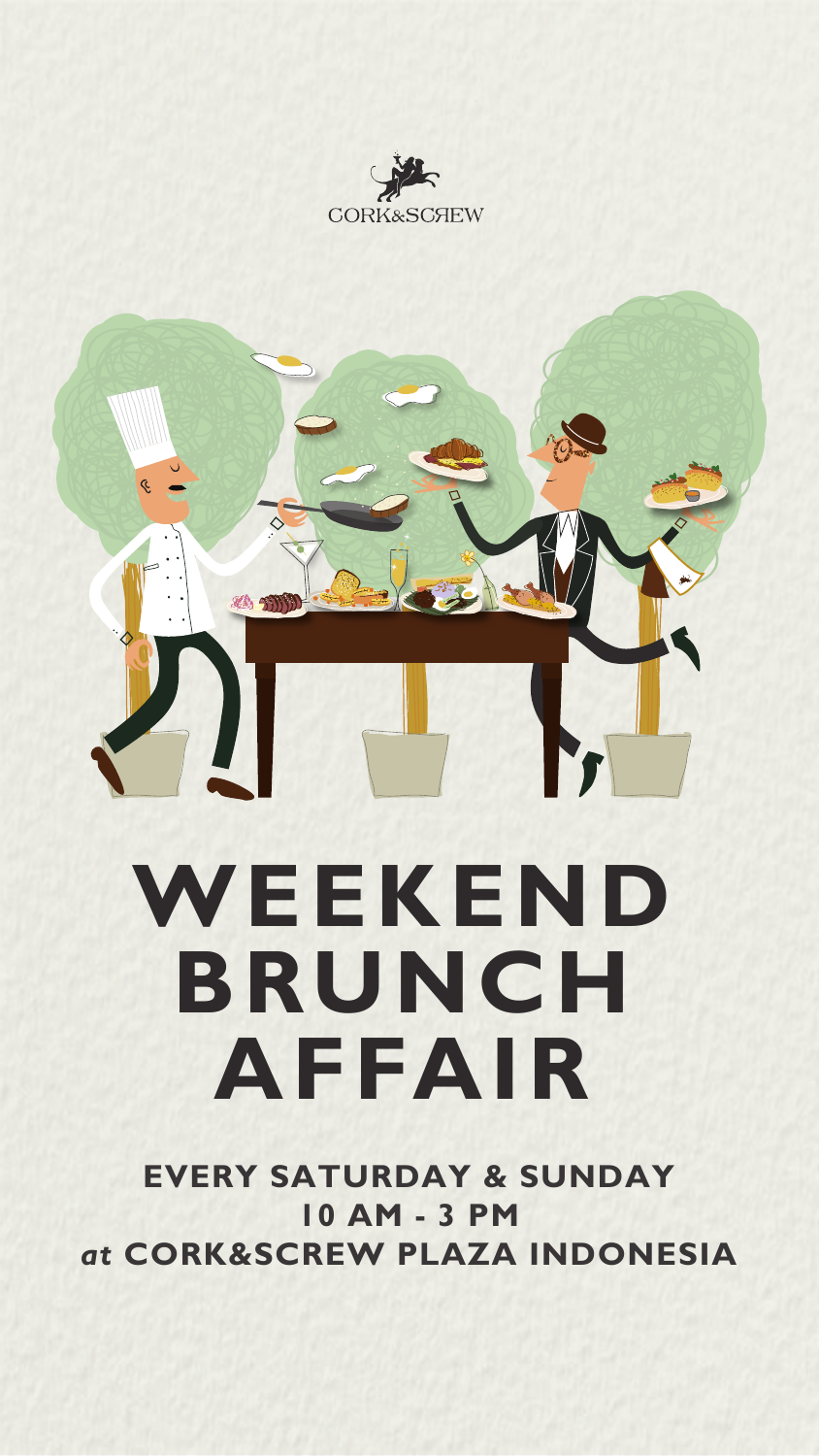





# **WEEKEND BRUNCH AFFAIR**

#### **EVERY SATURDAY & SUNDAY 10 AM - 3 PM** *at* **CORK&SCREW PLAZA INDONESIA**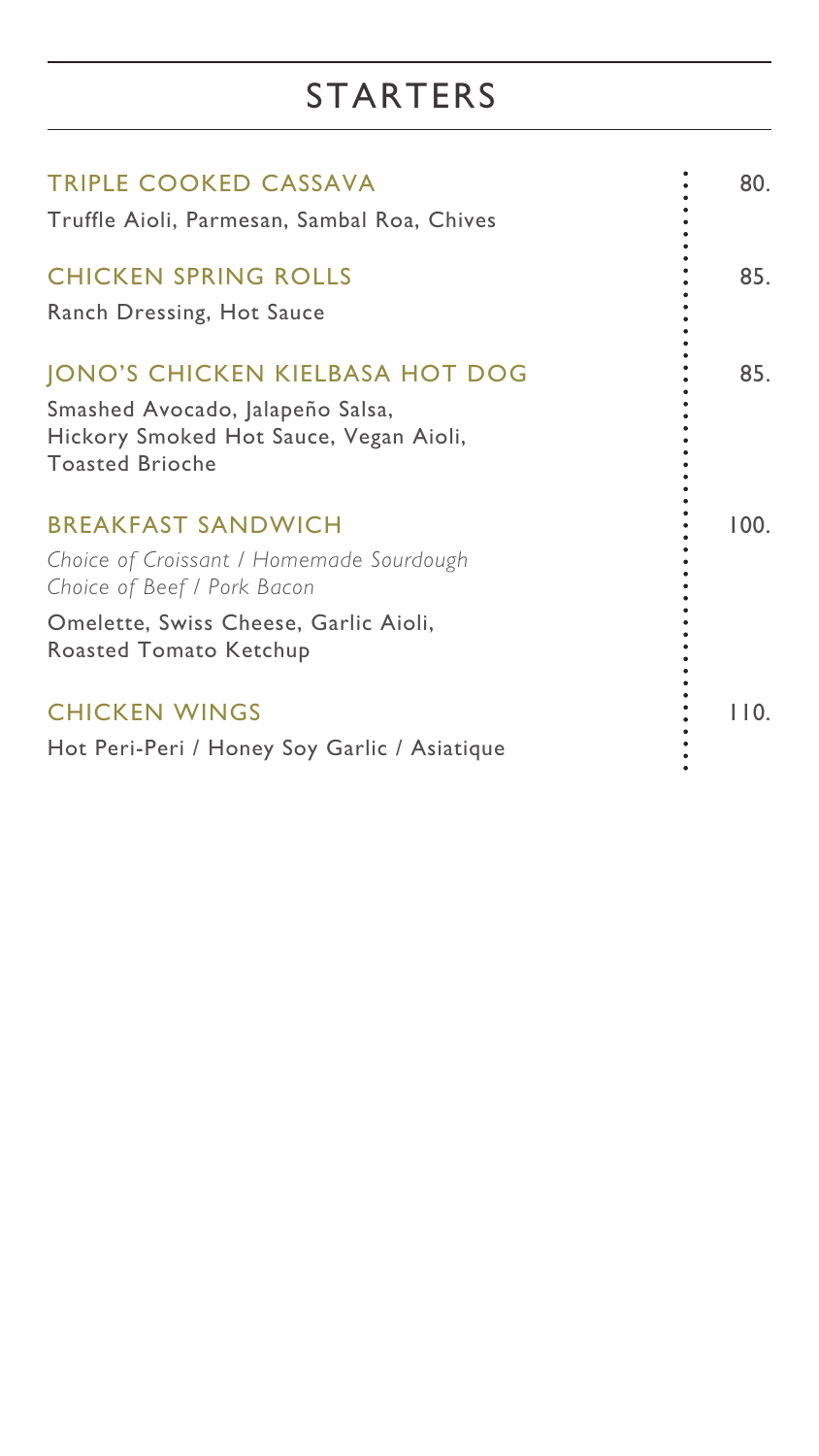#### STARTERS

| TRIPLE COOKED CASSAVA                                                   | 80. |
|-------------------------------------------------------------------------|-----|
| Truffle Aioli, Parmesan, Sambal Roa, Chives                             |     |
| <b>CHICKEN SPRING ROLLS</b>                                             | 85. |
| <b>Ranch Dressing, Hot Sauce</b>                                        |     |
| <b>JONO'S CHICKEN KIELBASA HOT DOG</b>                                  | 85. |
| Smashed Avocado, Jalapeño Salsa,                                        |     |
| Hickory Smoked Hot Sauce, Vegan Aioli,<br><b>Toasted Brioche</b>        |     |
|                                                                         |     |
| <b>BREAKFAST SANDWICH</b>                                               |     |
| Choice of Croissant / Homemade Sourdough<br>Choice of Beef / Pork Bacon |     |
| Omelette, Swiss Cheese, Garlic Aioli,<br><b>Roasted Tomato Ketchup</b>  |     |

#### CHICKEN WINGS : 110.

Hot Peri-Peri / Honey Soy Garlic / Asiatique

 $\bullet$ 

 $\bullet$ 

 $\bullet$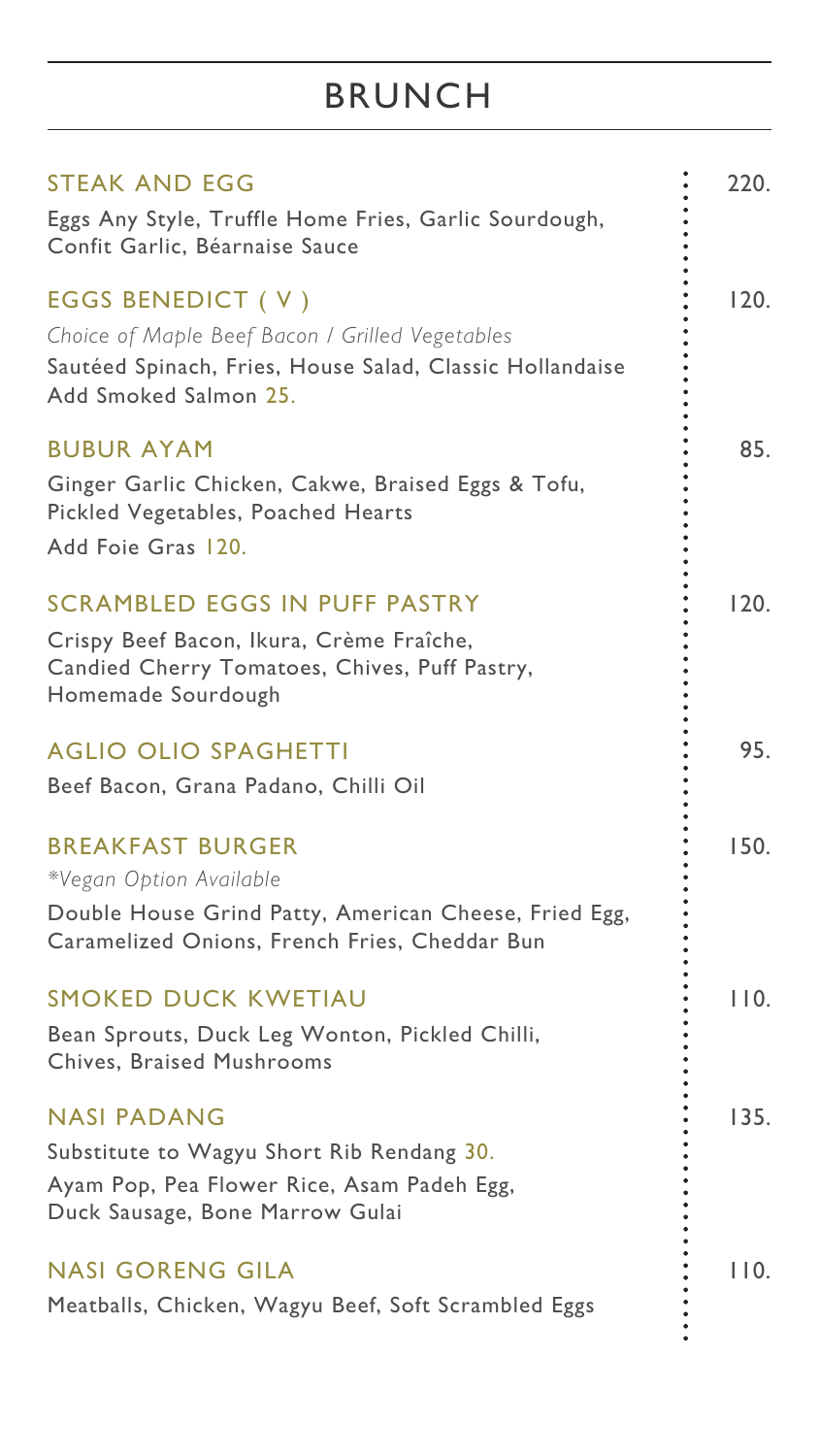| STEAK AND EGG<br>Eggs Any Style, Truffle Home Fries, Garlic Sourdough,<br>Confit Garlic, Béarnaise Sauce                                                     | 220.         |
|--------------------------------------------------------------------------------------------------------------------------------------------------------------|--------------|
| EGGS BENEDICT (V)<br>Choice of Maple Beef Bacon / Grilled Vegetables<br>Sautéed Spinach, Fries, House Salad, Classic Hollandaise<br>Add Smoked Salmon 25.    | 120.         |
| <b>BUBUR AYAM</b><br>Ginger Garlic Chicken, Cakwe, Braised Eggs & Tofu,<br>Pickled Vegetables, Poached Hearts<br>Add Foie Gras 120.                          | 85.          |
| SCRAMBLED EGGS IN PUFF PASTRY<br>Crispy Beef Bacon, Ikura, Crème Fraîche,<br>Candied Cherry Tomatoes, Chives, Puff Pastry,<br>Homemade Sourdough             | <u> 120 </u> |
| <b>AGLIO OLIO SPAGHETTI</b><br>Beef Bacon, Grana Padano, Chilli Oil                                                                                          | 95.          |
| <b>BREAKFAST BURGER</b><br>*Vegan Option Available<br>Double House Grind Patty, American Cheese, Fried Egg,<br>Caramelized Onions, French Fries, Cheddar Bun | I JU.        |
| SMOKED DUCK KWETIAU<br>Bean Sprouts, Duck Leg Wonton, Pickled Chilli,<br><b>Chives, Braised Mushrooms</b>                                                    | I I O.       |
| <b>NASI PADANG</b><br>Substitute to Wagyu Short Rib Rendang 30.<br>Ayam Pop, Pea Flower Rice, Asam Padeh Egg,<br>Duck Sausage, Bone Marrow Gulai             | 135.         |
| NASI GORENG GILA<br>Meatballs, Chicken, Wagyu Beef, Soft Scrambled Eggs                                                                                      |              |

## BRUNCH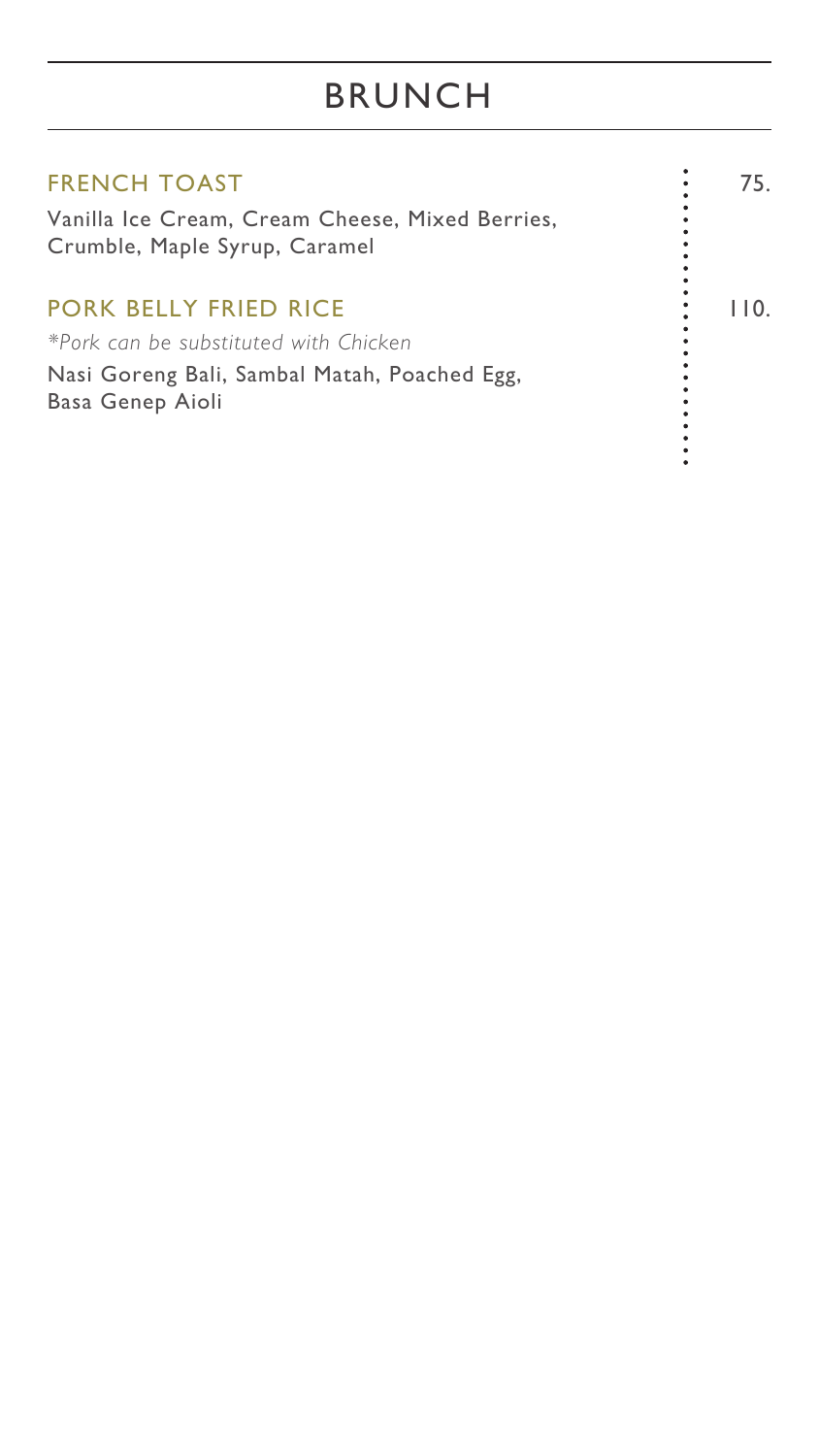## BRUNCH

| <b>FRENCH TOAST</b>                                                              | 75. |
|----------------------------------------------------------------------------------|-----|
| Vanilla Ice Cream, Cream Cheese, Mixed Berries,<br>Crumble, Maple Syrup, Caramel |     |
| PORK BELLY FRIED RICE<br>*Pork can be substituted with Chicken                   |     |
| Nasi Goreng Bali, Sambal Matah, Poached Egg,<br><b>Basa Genep Aioli</b>          |     |

 $\bullet$  $\bullet$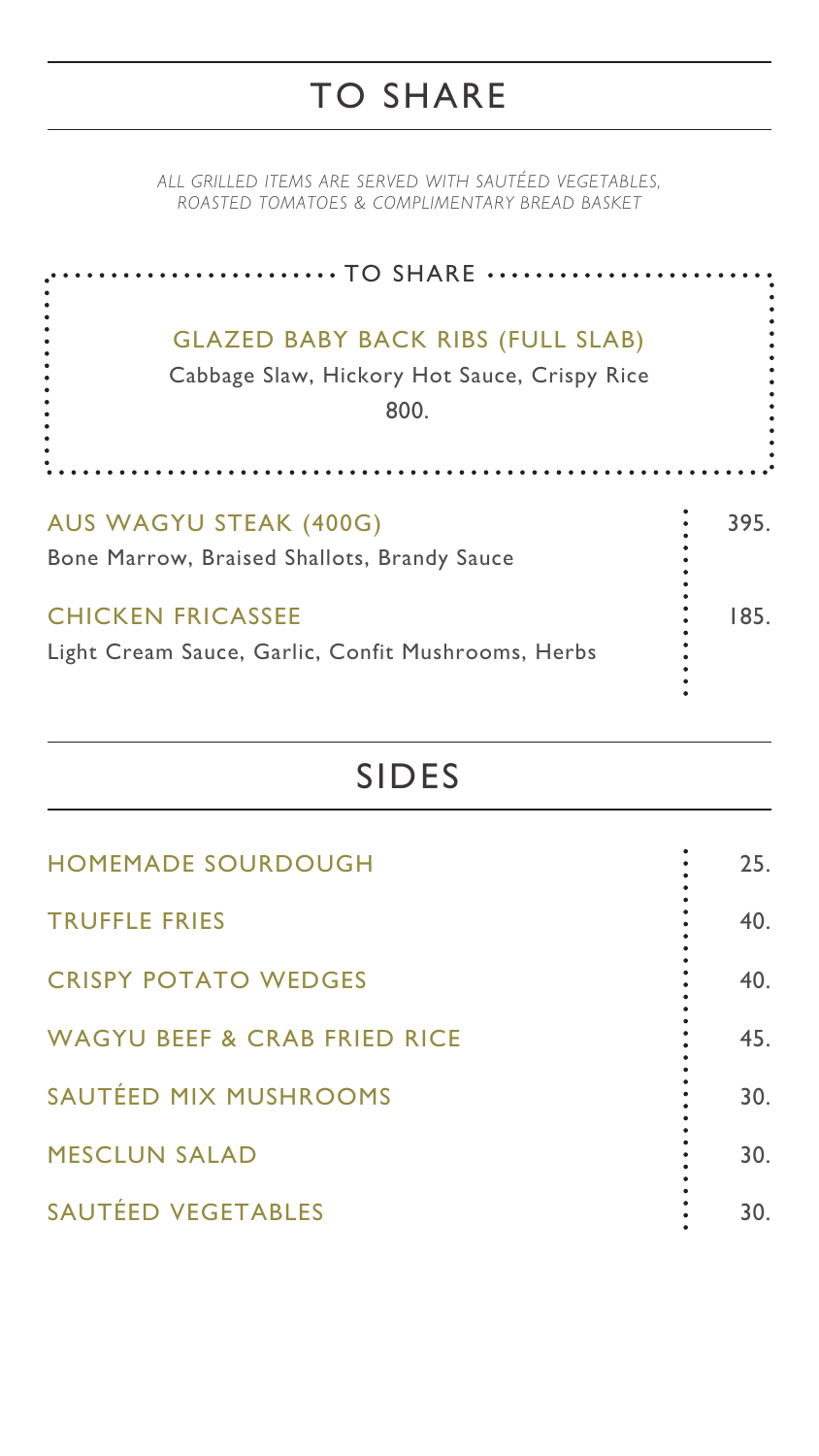*ALL GRILLED ITEMS ARE SERVED WITH SAUTÉED VEGETABLES, ROASTED TOMATOES & COMPLIMENTARY BREAD BASKET*

#### TO SHARE



#### SIDES

| <b>HOMEMADE SOURDOUGH</b>               | 25. |
|-----------------------------------------|-----|
| <b>TRUFFLE FRIES</b>                    | 40. |
| <b>CRISPY POTATO WEDGES</b>             | 40. |
| <b>WAGYU BEEF &amp; CRAB FRIED RICE</b> | 45. |
| SAUTÉED MIX MUSHROOMS                   | 30. |
| <b>MESCLUN SALAD</b>                    | 30. |
| SAUTÉED VEGETABLES                      | 30. |